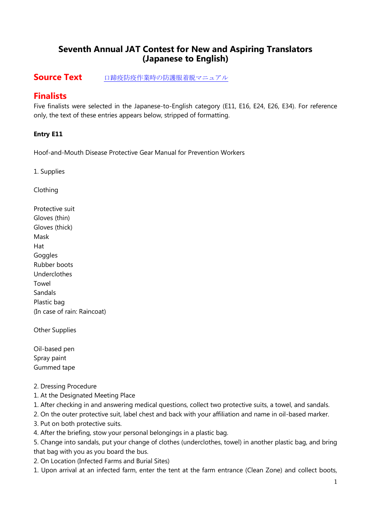# **Seventh Annual JAT Contest for New and Aspiring Translators (Japanese to English)**

# **Source Text** [口蹄疫防疫作業時の防護服着脱マニュアル](JAT%207th%20Contest%20Source%20Text.pdf)

# **Finalists**

Five finalists were selected in the Japanese-to-English category (E11, E16, E24, E26, E34). For reference only, the text of these entries appears below, stripped of formatting.

# **Entry E11**

Hoof-and-Mouth Disease Protective Gear Manual for Prevention Workers

1. Supplies

Clothing

Protective suit Gloves (thin) Gloves (thick) Mask Hat **Goggles** Rubber boots Underclothes Towel Sandals Plastic bag (In case of rain: Raincoat)

Other Supplies

Oil-based pen Spray paint Gummed tape

- 2. Dressing Procedure
- 1. At the Designated Meeting Place
- 1. After checking in and answering medical questions, collect two protective suits, a towel, and sandals.
- 2. On the outer protective suit, label chest and back with your affiliation and name in oil-based marker.
- 3. Put on both protective suits.
- 4. After the briefing, stow your personal belongings in a plastic bag.

5. Change into sandals, put your change of clothes (underclothes, towel) in another plastic bag, and bring that bag with you as you board the bus.

- 2. On Location (Infected Farms and Burial Sites)
- 1. Upon arrival at an infected farm, enter the tent at the farm entrance (Clean Zone) and collect boots,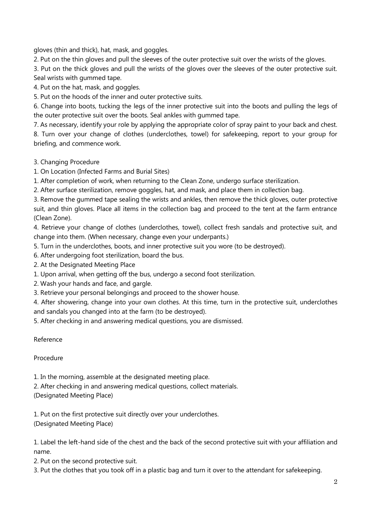gloves (thin and thick), hat, mask, and goggles.

2. Put on the thin gloves and pull the sleeves of the outer protective suit over the wrists of the gloves.

3. Put on the thick gloves and pull the wrists of the gloves over the sleeves of the outer protective suit. Seal wrists with gummed tape.

4. Put on the hat, mask, and goggles.

5. Put on the hoods of the inner and outer protective suits.

6. Change into boots, tucking the legs of the inner protective suit into the boots and pulling the legs of the outer protective suit over the boots. Seal ankles with gummed tape.

7. As necessary, identify your role by applying the appropriate color of spray paint to your back and chest.

8. Turn over your change of clothes (underclothes, towel) for safekeeping, report to your group for briefing, and commence work.

3. Changing Procedure

1. On Location (Infected Farms and Burial Sites)

1. After completion of work, when returning to the Clean Zone, undergo surface sterilization.

2. After surface sterilization, remove goggles, hat, and mask, and place them in collection bag.

3. Remove the gummed tape sealing the wrists and ankles, then remove the thick gloves, outer protective suit, and thin gloves. Place all items in the collection bag and proceed to the tent at the farm entrance (Clean Zone).

4. Retrieve your change of clothes (underclothes, towel), collect fresh sandals and protective suit, and change into them. (When necessary, change even your underpants.)

5. Turn in the underclothes, boots, and inner protective suit you wore (to be destroyed).

6. After undergoing foot sterilization, board the bus.

2. At the Designated Meeting Place

1. Upon arrival, when getting off the bus, undergo a second foot sterilization.

2. Wash your hands and face, and gargle.

3. Retrieve your personal belongings and proceed to the shower house.

4. After showering, change into your own clothes. At this time, turn in the protective suit, underclothes and sandals you changed into at the farm (to be destroyed).

5. After checking in and answering medical questions, you are dismissed.

Reference

Procedure

1. In the morning, assemble at the designated meeting place.

2. After checking in and answering medical questions, collect materials.

(Designated Meeting Place)

1. Put on the first protective suit directly over your underclothes. (Designated Meeting Place)

1. Label the left-hand side of the chest and the back of the second protective suit with your affiliation and name.

2. Put on the second protective suit.

3. Put the clothes that you took off in a plastic bag and turn it over to the attendant for safekeeping.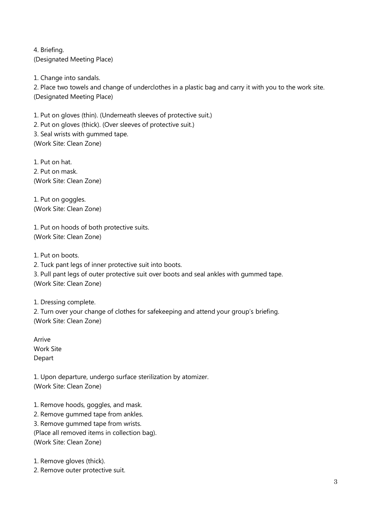4. Briefing. (Designated Meeting Place)

1. Change into sandals.

2. Place two towels and change of underclothes in a plastic bag and carry it with you to the work site. (Designated Meeting Place)

1. Put on gloves (thin). (Underneath sleeves of protective suit.) 2. Put on gloves (thick). (Over sleeves of protective suit.) 3. Seal wrists with gummed tape. (Work Site: Clean Zone)

1. Put on hat. 2. Put on mask. (Work Site: Clean Zone)

1. Put on goggles. (Work Site: Clean Zone)

1. Put on hoods of both protective suits. (Work Site: Clean Zone)

1. Put on boots.

2. Tuck pant legs of inner protective suit into boots.

3. Pull pant legs of outer protective suit over boots and seal ankles with gummed tape. (Work Site: Clean Zone)

1. Dressing complete.

2. Turn over your change of clothes for safekeeping and attend your group's briefing. (Work Site: Clean Zone)

Arrive Work Site Depart

1. Upon departure, undergo surface sterilization by atomizer. (Work Site: Clean Zone)

1. Remove hoods, goggles, and mask. 2. Remove gummed tape from ankles.

3. Remove gummed tape from wrists.

(Place all removed items in collection bag).

(Work Site: Clean Zone)

1. Remove gloves (thick).

2. Remove outer protective suit.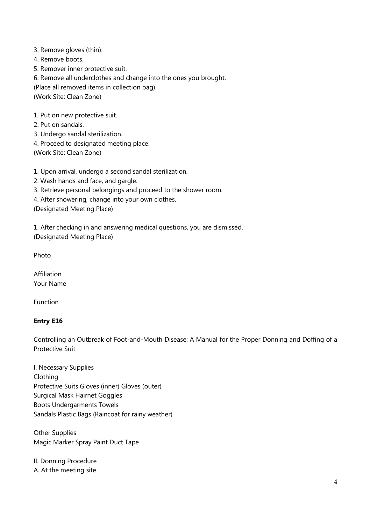3. Remove gloves (thin).

4. Remove boots.

5. Remover inner protective suit.

6. Remove all underclothes and change into the ones you brought.

(Place all removed items in collection bag).

(Work Site: Clean Zone)

1. Put on new protective suit.

2. Put on sandals.

3. Undergo sandal sterilization.

4. Proceed to designated meeting place.

(Work Site: Clean Zone)

1. Upon arrival, undergo a second sandal sterilization.

2. Wash hands and face, and gargle.

3. Retrieve personal belongings and proceed to the shower room.

4. After showering, change into your own clothes.

(Designated Meeting Place)

1. After checking in and answering medical questions, you are dismissed. (Designated Meeting Place)

Photo

Affiliation Your Name

Function

# **Entry E16**

Controlling an Outbreak of Foot-and-Mouth Disease: A Manual for the Proper Donning and Doffing of a Protective Suit

I. Necessary Supplies Clothing Protective Suits Gloves (inner) Gloves (outer) Surgical Mask Hairnet Goggles Boots Undergarments Towels Sandals Plastic Bags (Raincoat for rainy weather)

Other Supplies Magic Marker Spray Paint Duct Tape

II. Donning Procedure A. At the meeting site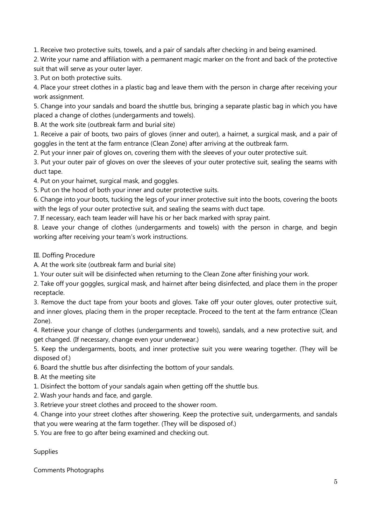1. Receive two protective suits, towels, and a pair of sandals after checking in and being examined.

2. Write your name and affiliation with a permanent magic marker on the front and back of the protective suit that will serve as your outer layer.

3. Put on both protective suits.

4. Place your street clothes in a plastic bag and leave them with the person in charge after receiving your work assignment.

5. Change into your sandals and board the shuttle bus, bringing a separate plastic bag in which you have placed a change of clothes (undergarments and towels).

B. At the work site (outbreak farm and burial site)

1. Receive a pair of boots, two pairs of gloves (inner and outer), a hairnet, a surgical mask, and a pair of goggles in the tent at the farm entrance (Clean Zone) after arriving at the outbreak farm.

2. Put your inner pair of gloves on, covering them with the sleeves of your outer protective suit.

3. Put your outer pair of gloves on over the sleeves of your outer protective suit, sealing the seams with duct tape.

4. Put on your hairnet, surgical mask, and goggles.

5. Put on the hood of both your inner and outer protective suits.

6. Change into your boots, tucking the legs of your inner protective suit into the boots, covering the boots with the legs of your outer protective suit, and sealing the seams with duct tape.

7. If necessary, each team leader will have his or her back marked with spray paint.

8. Leave your change of clothes (undergarments and towels) with the person in charge, and begin working after receiving your team's work instructions.

III. Doffing Procedure

A. At the work site (outbreak farm and burial site)

1. Your outer suit will be disinfected when returning to the Clean Zone after finishing your work.

2. Take off your goggles, surgical mask, and hairnet after being disinfected, and place them in the proper receptacle.

3. Remove the duct tape from your boots and gloves. Take off your outer gloves, outer protective suit, and inner gloves, placing them in the proper receptacle. Proceed to the tent at the farm entrance (Clean Zone).

4. Retrieve your change of clothes (undergarments and towels), sandals, and a new protective suit, and get changed. (If necessary, change even your underwear.)

5. Keep the undergarments, boots, and inner protective suit you were wearing together. (They will be disposed of.)

6. Board the shuttle bus after disinfecting the bottom of your sandals.

B. At the meeting site

1. Disinfect the bottom of your sandals again when getting off the shuttle bus.

2. Wash your hands and face, and gargle.

3. Retrieve your street clothes and proceed to the shower room.

4. Change into your street clothes after showering. Keep the protective suit, undergarments, and sandals that you were wearing at the farm together. (They will be disposed of.)

5. You are free to go after being examined and checking out.

Supplies

Comments Photographs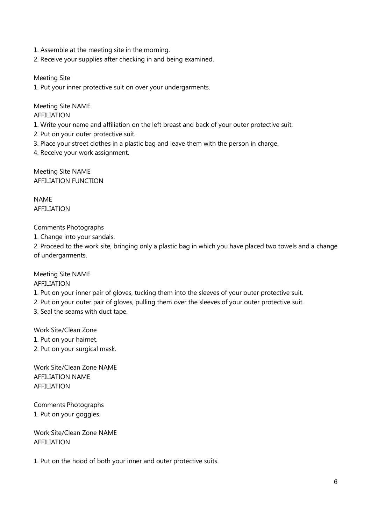- 1. Assemble at the meeting site in the morning.
- 2. Receive your supplies after checking in and being examined.

Meeting Site

1. Put your inner protective suit on over your undergarments.

Meeting Site NAME AFFILIATION

1. Write your name and affiliation on the left breast and back of your outer protective suit.

- 2. Put on your outer protective suit.
- 3. Place your street clothes in a plastic bag and leave them with the person in charge.

4. Receive your work assignment.

Meeting Site NAME AFFILIATION FUNCTION

NAME AFFILIATION

Comments Photographs

1. Change into your sandals.

2. Proceed to the work site, bringing only a plastic bag in which you have placed two towels and a change of undergarments.

Meeting Site NAME

AFFILIATION

- 1. Put on your inner pair of gloves, tucking them into the sleeves of your outer protective suit.
- 2. Put on your outer pair of gloves, pulling them over the sleeves of your outer protective suit.

3. Seal the seams with duct tape.

Work Site/Clean Zone

- 1. Put on your hairnet.
- 2. Put on your surgical mask.

Work Site/Clean Zone NAME AFFILIATION NAME AFFILIATION

Comments Photographs 1. Put on your goggles.

Work Site/Clean Zone NAME AFFILIATION

1. Put on the hood of both your inner and outer protective suits.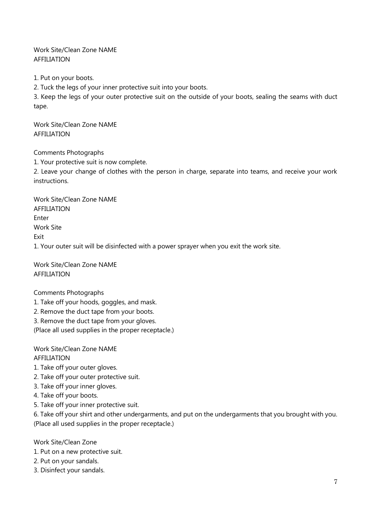Work Site/Clean Zone NAME AFFILIATION

1. Put on your boots.

2. Tuck the legs of your inner protective suit into your boots.

3. Keep the legs of your outer protective suit on the outside of your boots, sealing the seams with duct tape.

Work Site/Clean Zone NAME AFFILIATION

Comments Photographs

1. Your protective suit is now complete.

2. Leave your change of clothes with the person in charge, separate into teams, and receive your work instructions.

Work Site/Clean Zone NAME AFFILIATION Enter Work Site **Fxit** 1. Your outer suit will be disinfected with a power sprayer when you exit the work site.

Work Site/Clean Zone NAME AFFILIATION

# Comments Photographs

- 1. Take off your hoods, goggles, and mask.
- 2. Remove the duct tape from your boots.
- 3. Remove the duct tape from your gloves.

(Place all used supplies in the proper receptacle.)

Work Site/Clean Zone NAME AFFILIATION

1. Take off your outer gloves.

- 2. Take off your outer protective suit.
- 3. Take off your inner gloves.
- 4. Take off your boots.
- 5. Take off your inner protective suit.

6. Take off your shirt and other undergarments, and put on the undergarments that you brought with you. (Place all used supplies in the proper receptacle.)

Work Site/Clean Zone

- 1. Put on a new protective suit.
- 2. Put on your sandals.
- 3. Disinfect your sandals.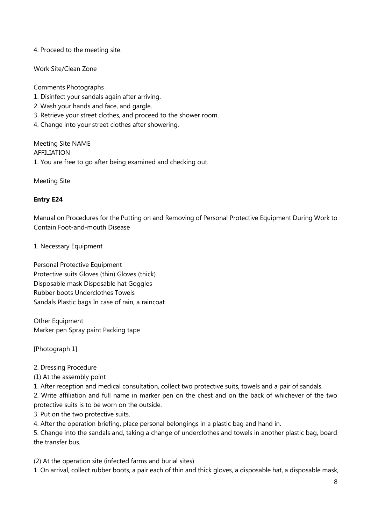4. Proceed to the meeting site.

Work Site/Clean Zone

Comments Photographs

- 1. Disinfect your sandals again after arriving.
- 2. Wash your hands and face, and gargle.
- 3. Retrieve your street clothes, and proceed to the shower room.
- 4. Change into your street clothes after showering.

Meeting Site NAME AFFILIATION 1. You are free to go after being examined and checking out.

Meeting Site

# **Entry E24**

Manual on Procedures for the Putting on and Removing of Personal Protective Equipment During Work to Contain Foot-and-mouth Disease

1. Necessary Equipment

Personal Protective Equipment Protective suits Gloves (thin) Gloves (thick) Disposable mask Disposable hat Goggles Rubber boots Underclothes Towels Sandals Plastic bags In case of rain, a raincoat

Other Equipment Marker pen Spray paint Packing tape

[Photograph 1]

#### 2. Dressing Procedure

(1) At the assembly point

1. After reception and medical consultation, collect two protective suits, towels and a pair of sandals.

2. Write affiliation and full name in marker pen on the chest and on the back of whichever of the two protective suits is to be worn on the outside.

3. Put on the two protective suits.

4. After the operation briefing, place personal belongings in a plastic bag and hand in.

5. Change into the sandals and, taking a change of underclothes and towels in another plastic bag, board the transfer bus.

(2) At the operation site (infected farms and burial sites)

1. On arrival, collect rubber boots, a pair each of thin and thick gloves, a disposable hat, a disposable mask,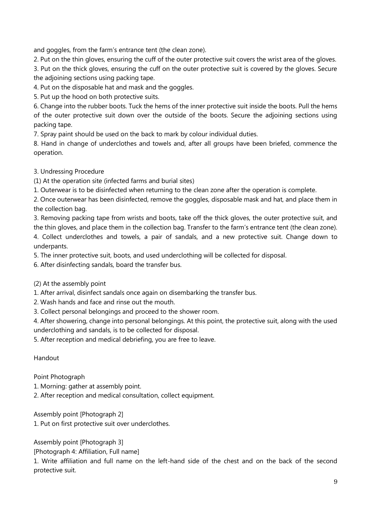and goggles, from the farm's entrance tent (the clean zone).

2. Put on the thin gloves, ensuring the cuff of the outer protective suit covers the wrist area of the gloves.

3. Put on the thick gloves, ensuring the cuff on the outer protective suit is covered by the gloves. Secure the adjoining sections using packing tape.

4. Put on the disposable hat and mask and the goggles.

5. Put up the hood on both protective suits.

6. Change into the rubber boots. Tuck the hems of the inner protective suit inside the boots. Pull the hems of the outer protective suit down over the outside of the boots. Secure the adjoining sections using packing tape.

7. Spray paint should be used on the back to mark by colour individual duties.

8. Hand in change of underclothes and towels and, after all groups have been briefed, commence the operation.

3. Undressing Procedure

(1) At the operation site (infected farms and burial sites)

1. Outerwear is to be disinfected when returning to the clean zone after the operation is complete.

2. Once outerwear has been disinfected, remove the goggles, disposable mask and hat, and place them in the collection bag.

3. Removing packing tape from wrists and boots, take off the thick gloves, the outer protective suit, and the thin gloves, and place them in the collection bag. Transfer to the farm's entrance tent (the clean zone). 4. Collect underclothes and towels, a pair of sandals, and a new protective suit. Change down to underpants.

5. The inner protective suit, boots, and used underclothing will be collected for disposal.

6. After disinfecting sandals, board the transfer bus.

(2) At the assembly point

1. After arrival, disinfect sandals once again on disembarking the transfer bus.

- 2. Wash hands and face and rinse out the mouth.
- 3. Collect personal belongings and proceed to the shower room.

4. After showering, change into personal belongings. At this point, the protective suit, along with the used underclothing and sandals, is to be collected for disposal.

5. After reception and medical debriefing, you are free to leave.

Handout

#### Point Photograph

1. Morning: gather at assembly point.

2. After reception and medical consultation, collect equipment.

Assembly point [Photograph 2]

1. Put on first protective suit over underclothes.

Assembly point [Photograph 3]

[Photograph 4: Affiliation, Full name]

1. Write affiliation and full name on the left-hand side of the chest and on the back of the second protective suit.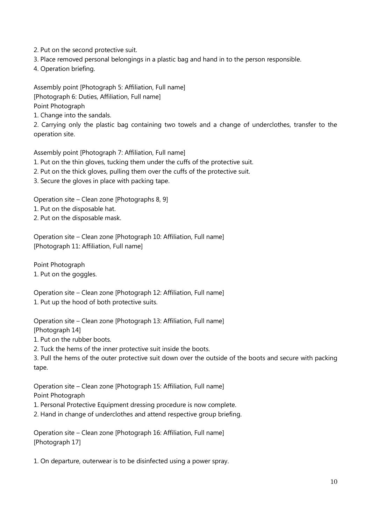2. Put on the second protective suit.

3. Place removed personal belongings in a plastic bag and hand in to the person responsible.

4. Operation briefing.

Assembly point [Photograph 5: Affiliation, Full name] [Photograph 6: Duties, Affiliation, Full name]

Point Photograph

1. Change into the sandals.

2. Carrying only the plastic bag containing two towels and a change of underclothes, transfer to the operation site.

Assembly point [Photograph 7: Affiliation, Full name]

1. Put on the thin gloves, tucking them under the cuffs of the protective suit.

2. Put on the thick gloves, pulling them over the cuffs of the protective suit.

3. Secure the gloves in place with packing tape.

Operation site – Clean zone [Photographs 8, 9]

1. Put on the disposable hat.

2. Put on the disposable mask.

Operation site – Clean zone [Photograph 10: Affiliation, Full name] [Photograph 11: Affiliation, Full name]

Point Photograph 1. Put on the goggles.

Operation site – Clean zone [Photograph 12: Affiliation, Full name] 1. Put up the hood of both protective suits.

Operation site – Clean zone [Photograph 13: Affiliation, Full name] [Photograph 14]

1. Put on the rubber boots.

2. Tuck the hems of the inner protective suit inside the boots.

3. Pull the hems of the outer protective suit down over the outside of the boots and secure with packing tape.

Operation site – Clean zone [Photograph 15: Affiliation, Full name] Point Photograph

1. Personal Protective Equipment dressing procedure is now complete.

2. Hand in change of underclothes and attend respective group briefing.

Operation site – Clean zone [Photograph 16: Affiliation, Full name] [Photograph 17]

1. On departure, outerwear is to be disinfected using a power spray.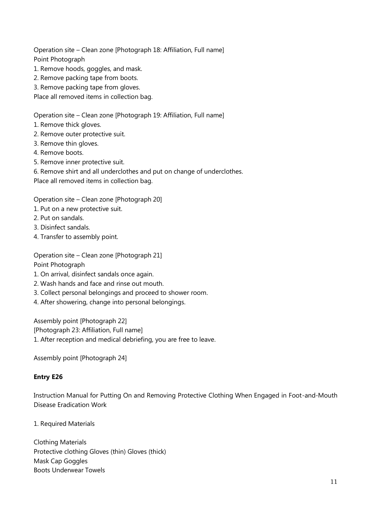Operation site – Clean zone [Photograph 18: Affiliation, Full name] Point Photograph

- 1. Remove hoods, goggles, and mask.
- 2. Remove packing tape from boots.
- 3. Remove packing tape from gloves.

Place all removed items in collection bag.

Operation site – Clean zone [Photograph 19: Affiliation, Full name]

- 1. Remove thick gloves.
- 2. Remove outer protective suit.
- 3. Remove thin gloves.
- 4. Remove boots.
- 5. Remove inner protective suit.
- 6. Remove shirt and all underclothes and put on change of underclothes.

Place all removed items in collection bag.

Operation site – Clean zone [Photograph 20]

- 1. Put on a new protective suit.
- 2. Put on sandals.
- 3. Disinfect sandals.
- 4. Transfer to assembly point.

Operation site – Clean zone [Photograph 21] Point Photograph

- 1. On arrival, disinfect sandals once again.
- 2. Wash hands and face and rinse out mouth.
- 3. Collect personal belongings and proceed to shower room.
- 4. After showering, change into personal belongings.

Assembly point [Photograph 22]

[Photograph 23: Affiliation, Full name]

1. After reception and medical debriefing, you are free to leave.

Assembly point [Photograph 24]

# **Entry E26**

Instruction Manual for Putting On and Removing Protective Clothing When Engaged in Foot-and-Mouth Disease Eradication Work

1. Required Materials

Clothing Materials Protective clothing Gloves (thin) Gloves (thick) Mask Cap Goggles Boots Underwear Towels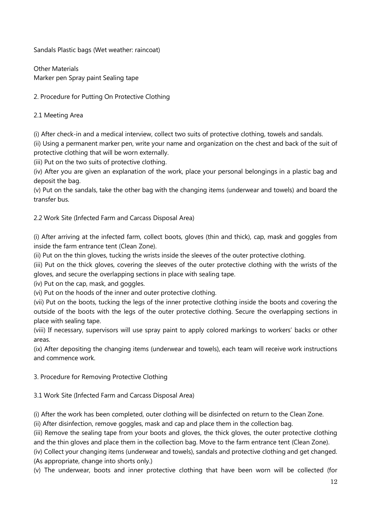Sandals Plastic bags (Wet weather: raincoat)

Other Materials Marker pen Spray paint Sealing tape

2. Procedure for Putting On Protective Clothing

2.1 Meeting Area

(i) After check-in and a medical interview, collect two suits of protective clothing, towels and sandals. (ii) Using a permanent marker pen, write your name and organization on the chest and back of the suit of protective clothing that will be worn externally.

(iii) Put on the two suits of protective clothing.

(iv) After you are given an explanation of the work, place your personal belongings in a plastic bag and deposit the bag.

(v) Put on the sandals, take the other bag with the changing items (underwear and towels) and board the transfer bus.

2.2 Work Site (Infected Farm and Carcass Disposal Area)

(i) After arriving at the infected farm, collect boots, gloves (thin and thick), cap, mask and goggles from inside the farm entrance tent (Clean Zone).

(ii) Put on the thin gloves, tucking the wrists inside the sleeves of the outer protective clothing.

(iii) Put on the thick gloves, covering the sleeves of the outer protective clothing with the wrists of the gloves, and secure the overlapping sections in place with sealing tape.

(iv) Put on the cap, mask, and goggles.

(vi) Put on the hoods of the inner and outer protective clothing.

(vii) Put on the boots, tucking the legs of the inner protective clothing inside the boots and covering the outside of the boots with the legs of the outer protective clothing. Secure the overlapping sections in place with sealing tape.

(viii) If necessary, supervisors will use spray paint to apply colored markings to workers' backs or other areas.

(ix) After depositing the changing items (underwear and towels), each team will receive work instructions and commence work.

3. Procedure for Removing Protective Clothing

3.1 Work Site (Infected Farm and Carcass Disposal Area)

(i) After the work has been completed, outer clothing will be disinfected on return to the Clean Zone.

(ii) After disinfection, remove goggles, mask and cap and place them in the collection bag.

(iii) Remove the sealing tape from your boots and gloves, the thick gloves, the outer protective clothing and the thin gloves and place them in the collection bag. Move to the farm entrance tent (Clean Zone).

(iv) Collect your changing items (underwear and towels), sandals and protective clothing and get changed. (As appropriate, change into shorts only.)

(v) The underwear, boots and inner protective clothing that have been worn will be collected (for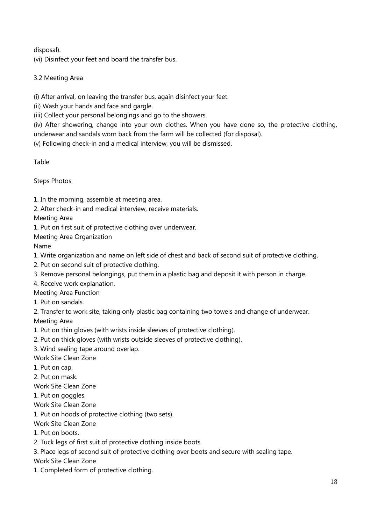disposal).

(vi) Disinfect your feet and board the transfer bus.

3.2 Meeting Area

(i) After arrival, on leaving the transfer bus, again disinfect your feet.

(ii) Wash your hands and face and gargle.

(iii) Collect your personal belongings and go to the showers.

(iv) After showering, change into your own clothes. When you have done so, the protective clothing, underwear and sandals worn back from the farm will be collected (for disposal).

(v) Following check-in and a medical interview, you will be dismissed.

Table

Steps Photos

1. In the morning, assemble at meeting area.

2. After check-in and medical interview, receive materials.

Meeting Area

1. Put on first suit of protective clothing over underwear.

Meeting Area Organization

Name

1. Write organization and name on left side of chest and back of second suit of protective clothing.

- 2. Put on second suit of protective clothing.
- 3. Remove personal belongings, put them in a plastic bag and deposit it with person in charge.

4. Receive work explanation.

Meeting Area Function

1. Put on sandals.

2. Transfer to work site, taking only plastic bag containing two towels and change of underwear.

Meeting Area

1. Put on thin gloves (with wrists inside sleeves of protective clothing).

2. Put on thick gloves (with wrists outside sleeves of protective clothing).

3. Wind sealing tape around overlap.

Work Site Clean Zone

1. Put on cap.

2. Put on mask.

Work Site Clean Zone

1. Put on goggles.

Work Site Clean Zone

1. Put on hoods of protective clothing (two sets).

Work Site Clean Zone

1. Put on boots.

2. Tuck legs of first suit of protective clothing inside boots.

3. Place legs of second suit of protective clothing over boots and secure with sealing tape.

Work Site Clean Zone

1. Completed form of protective clothing.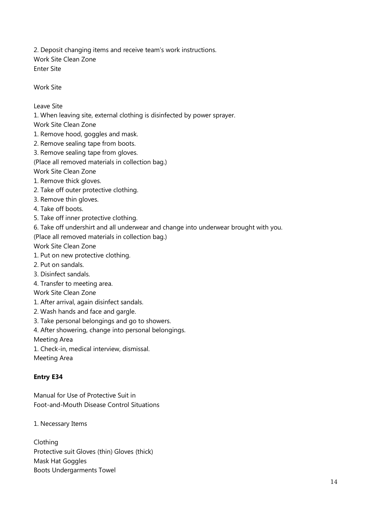2. Deposit changing items and receive team's work instructions. Work Site Clean Zone Enter Site

Work Site

Leave Site

1. When leaving site, external clothing is disinfected by power sprayer.

Work Site Clean Zone

- 1. Remove hood, goggles and mask.
- 2. Remove sealing tape from boots.
- 3. Remove sealing tape from gloves.

(Place all removed materials in collection bag.)

Work Site Clean Zone

- 1. Remove thick gloves.
- 2. Take off outer protective clothing.
- 3. Remove thin gloves.

4. Take off boots.

- 5. Take off inner protective clothing.
- 6. Take off undershirt and all underwear and change into underwear brought with you.

(Place all removed materials in collection bag.)

Work Site Clean Zone

- 1. Put on new protective clothing.
- 2. Put on sandals.
- 3. Disinfect sandals.
- 4. Transfer to meeting area.
- Work Site Clean Zone
- 1. After arrival, again disinfect sandals.
- 2. Wash hands and face and gargle.
- 3. Take personal belongings and go to showers.
- 4. After showering, change into personal belongings.

Meeting Area

1. Check-in, medical interview, dismissal.

Meeting Area

#### **Entry E34**

Manual for Use of Protective Suit in Foot-and-Mouth Disease Control Situations

1. Necessary Items

Clothing Protective suit Gloves (thin) Gloves (thick) Mask Hat Goggles Boots Undergarments Towel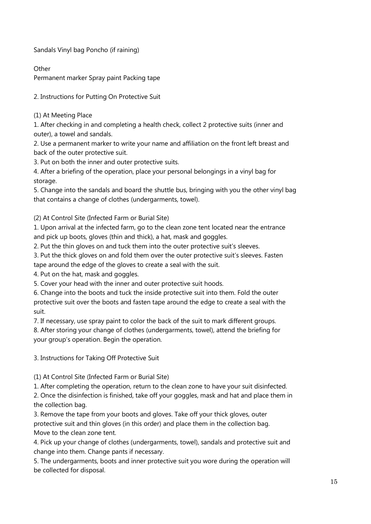Sandals Vinyl bag Poncho (if raining)

**Other** 

Permanent marker Spray paint Packing tape

2. Instructions for Putting On Protective Suit

(1) At Meeting Place

1. After checking in and completing a health check, collect 2 protective suits (inner and outer), a towel and sandals.

2. Use a permanent marker to write your name and affiliation on the front left breast and back of the outer protective suit.

3. Put on both the inner and outer protective suits.

4. After a briefing of the operation, place your personal belongings in a vinyl bag for storage.

5. Change into the sandals and board the shuttle bus, bringing with you the other vinyl bag that contains a change of clothes (undergarments, towel).

(2) At Control Site (Infected Farm or Burial Site)

1. Upon arrival at the infected farm, go to the clean zone tent located near the entrance and pick up boots, gloves (thin and thick), a hat, mask and goggles.

2. Put the thin gloves on and tuck them into the outer protective suit's sleeves.

3. Put the thick gloves on and fold them over the outer protective suit's sleeves. Fasten tape around the edge of the gloves to create a seal with the suit.

4. Put on the hat, mask and goggles.

5. Cover your head with the inner and outer protective suit hoods.

6. Change into the boots and tuck the inside protective suit into them. Fold the outer protective suit over the boots and fasten tape around the edge to create a seal with the suit.

7. If necessary, use spray paint to color the back of the suit to mark different groups.

8. After storing your change of clothes (undergarments, towel), attend the briefing for your group's operation. Begin the operation.

3. Instructions for Taking Off Protective Suit

(1) At Control Site (Infected Farm or Burial Site)

1. After completing the operation, return to the clean zone to have your suit disinfected.

2. Once the disinfection is finished, take off your goggles, mask and hat and place them in the collection bag.

3. Remove the tape from your boots and gloves. Take off your thick gloves, outer protective suit and thin gloves (in this order) and place them in the collection bag. Move to the clean zone tent.

4. Pick up your change of clothes (undergarments, towel), sandals and protective suit and change into them. Change pants if necessary.

5. The undergarments, boots and inner protective suit you wore during the operation will be collected for disposal.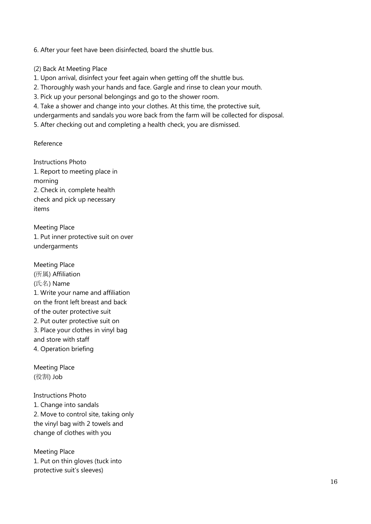6. After your feet have been disinfected, board the shuttle bus.

(2) Back At Meeting Place

1. Upon arrival, disinfect your feet again when getting off the shuttle bus.

2. Thoroughly wash your hands and face. Gargle and rinse to clean your mouth.

3. Pick up your personal belongings and go to the shower room.

4. Take a shower and change into your clothes. At this time, the protective suit,

undergarments and sandals you wore back from the farm will be collected for disposal.

5. After checking out and completing a health check, you are dismissed.

Reference

Instructions Photo 1. Report to meeting place in morning 2. Check in, complete health check and pick up necessary items

Meeting Place 1. Put inner protective suit on over undergarments

Meeting Place (所属) Affiliation (氏名) Name 1. Write your name and affiliation on the front left breast and back of the outer protective suit 2. Put outer protective suit on 3. Place your clothes in vinyl bag and store with staff 4. Operation briefing

Meeting Place (役割) Job

Instructions Photo 1. Change into sandals 2. Move to control site, taking only the vinyl bag with 2 towels and change of clothes with you

Meeting Place 1. Put on thin gloves (tuck into protective suit's sleeves)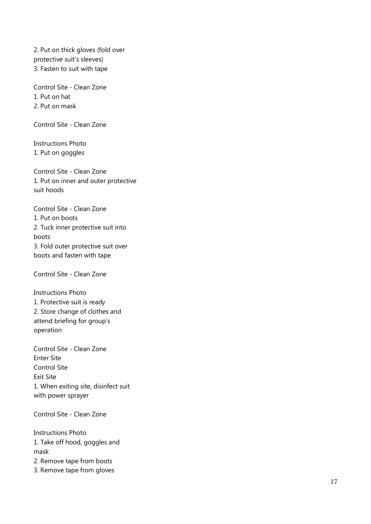2. Put on thick gloves (fold over protective suit's sleeves) 3. Fasten to suit with tape

Control Site - Clean Zone 1. Put on hat 2. Put on mask

Control Site - Clean Zone

Instructions Photo 1. Put on goggles

Control Site - Clean Zone 1. Put on inner and outer protective suit hoods

Control Site - Clean Zone 1. Put on boots 2. Tuck inner protective suit into boots 3. Fold outer protective suit over boots and fasten with tape

Control Site - Clean Zone

Instructions Photo 1. Protective suit is ready 2. Store change of clothes and attend briefing for group's operation

Control Site - Clean Zone Enter Site Control Site Exit Site 1. When exiting site, disinfect suit with power sprayer

Control Site - Clean Zone

Instructions Photo 1. Take off hood, goggles and mask

2. Remove tape from boots

3. Remove tape from gloves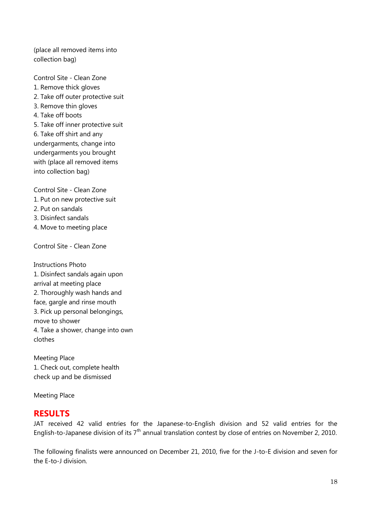(place all removed items into collection bag)

Control Site - Clean Zone

- 1. Remove thick gloves
- 2. Take off outer protective suit
- 3. Remove thin gloves
- 4. Take off boots
- 5. Take off inner protective suit

6. Take off shirt and any undergarments, change into undergarments you brought with (place all removed items into collection bag)

Control Site - Clean Zone

- 1. Put on new protective suit
- 2. Put on sandals
- 3. Disinfect sandals
- 4. Move to meeting place

Control Site - Clean Zone

Instructions Photo 1. Disinfect sandals again upon arrival at meeting place 2. Thoroughly wash hands and face, gargle and rinse mouth 3. Pick up personal belongings, move to shower 4. Take a shower, change into own clothes

Meeting Place 1. Check out, complete health check up and be dismissed

Meeting Place

# **RESULTS**

JAT received 42 valid entries for the Japanese-to-English division and 52 valid entries for the English-to-Japanese division of its  $7<sup>th</sup>$  annual translation contest by close of entries on November 2, 2010.

The following finalists were announced on December 21, 2010, five for the J-to-E division and seven for the E-to-J division.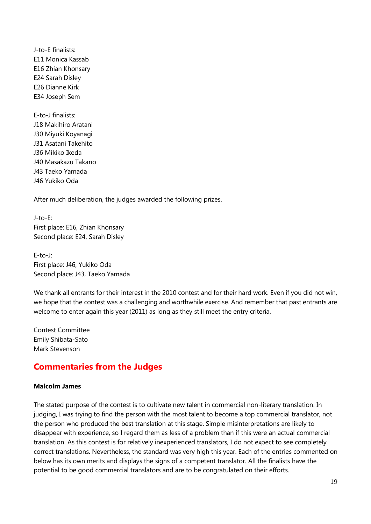J-to-E finalists: E11 Monica Kassab E16 Zhian Khonsary E24 Sarah Disley E26 Dianne Kirk E34 Joseph Sem

E-to-J finalists: J18 Makihiro Aratani J30 Miyuki Koyanagi J31 Asatani Takehito J36 Mikiko Ikeda J40 Masakazu Takano J43 Taeko Yamada J46 Yukiko Oda

After much deliberation, the judges awarded the following prizes.

J-to-E: First place: E16, Zhian Khonsary Second place: E24, Sarah Disley

E-to-J: First place: J46, Yukiko Oda Second place: J43, Taeko Yamada

We thank all entrants for their interest in the 2010 contest and for their hard work. Even if you did not win, we hope that the contest was a challenging and worthwhile exercise. And remember that past entrants are welcome to enter again this year (2011) as long as they still meet the entry criteria.

Contest Committee Emily Shibata-Sato Mark Stevenson

# **Commentaries from the Judges**

#### **Malcolm James**

The stated purpose of the contest is to cultivate new talent in commercial non-literary translation. In judging, I was trying to find the person with the most talent to become a top commercial translator, not the person who produced the best translation at this stage. Simple misinterpretations are likely to disappear with experience, so I regard them as less of a problem than if this were an actual commercial translation. As this contest is for relatively inexperienced translators, I do not expect to see completely correct translations. Nevertheless, the standard was very high this year. Each of the entries commented on below has its own merits and displays the signs of a competent translator. All the finalists have the potential to be good commercial translators and are to be congratulated on their efforts.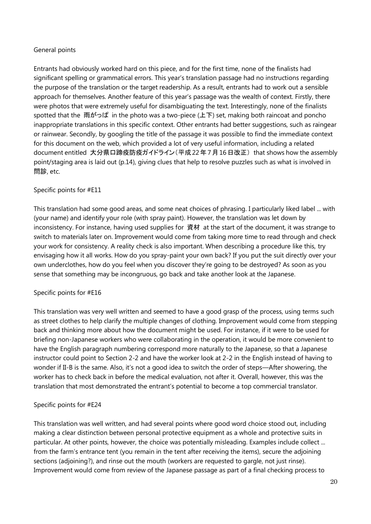# General points

Entrants had obviously worked hard on this piece, and for the first time, none of the finalists had significant spelling or grammatical errors. This year's translation passage had no instructions regarding the purpose of the translation or the target readership. As a result, entrants had to work out a sensible approach for themselves. Another feature of this year's passage was the wealth of context. Firstly, there were photos that were extremely useful for disambiguating the text. Interestingly, none of the finalists spotted that the 雨がっぱ in the photo was a two-piece (上下) set, making both raincoat and poncho inappropriate translations in this specific context. Other entrants had better suggestions, such as raingear or rainwear. Secondly, by googling the title of the passage it was possible to find the immediate context for this document on the web, which provided a lot of very useful information, including a related document entitled 大分県口蹄疫防疫ガイドライン(平成22年7月16日改正) that shows how the assembly point/staging area is laid out (p.14), giving clues that help to resolve puzzles such as what is involved in 問診, etc.

### Specific points for #E11

This translation had some good areas, and some neat choices of phrasing. I particularly liked label ... with (your name) and identify your role (with spray paint). However, the translation was let down by inconsistency. For instance, having used supplies for 資材 at the start of the document, it was strange to switch to materials later on. Improvement would come from taking more time to read through and check your work for consistency. A reality check is also important. When describing a procedure like this, try envisaging how it all works. How do you spray-paint your own back? If you put the suit directly over your own underclothes, how do you feel when you discover they're going to be destroyed? As soon as you sense that something may be incongruous, go back and take another look at the Japanese.

#### Specific points for #E16

This translation was very well written and seemed to have a good grasp of the process, using terms such as street clothes to help clarify the multiple changes of clothing. Improvement would come from stepping back and thinking more about how the document might be used. For instance, if it were to be used for briefing non-Japanese workers who were collaborating in the operation, it would be more convenient to have the English paragraph numbering correspond more naturally to the Japanese, so that a Japanese instructor could point to Section 2-2 and have the worker look at 2-2 in the English instead of having to wonder if II-B is the same. Also, it's not a good idea to switch the order of steps—After showering, the worker has to check back in before the medical evaluation, not after it. Overall, however, this was the translation that most demonstrated the entrant's potential to become a top commercial translator.

# Specific points for #E24

This translation was well written, and had several points where good word choice stood out, including making a clear distinction between personal protective equipment as a whole and protective suits in particular. At other points, however, the choice was potentially misleading. Examples include collect ... from the farm's entrance tent (you remain in the tent after receiving the items), secure the adjoining sections (adjoining?), and rinse out the mouth (workers are requested to gargle, not just rinse). Improvement would come from review of the Japanese passage as part of a final checking process to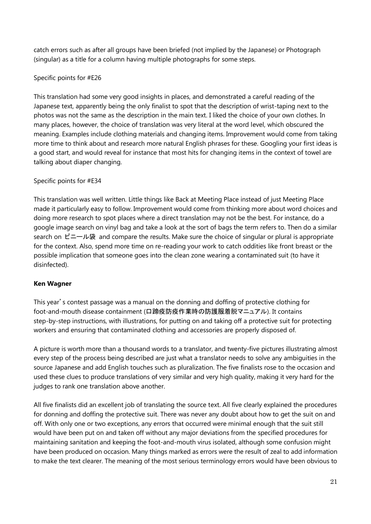catch errors such as after all groups have been briefed (not implied by the Japanese) or Photograph (singular) as a title for a column having multiple photographs for some steps.

# Specific points for #E26

This translation had some very good insights in places, and demonstrated a careful reading of the Japanese text, apparently being the only finalist to spot that the description of wrist-taping next to the photos was not the same as the description in the main text. I liked the choice of your own clothes. In many places, however, the choice of translation was very literal at the word level, which obscured the meaning. Examples include clothing materials and changing items. Improvement would come from taking more time to think about and research more natural English phrases for these. Googling your first ideas is a good start, and would reveal for instance that most hits for changing items in the context of towel are talking about diaper changing.

# Specific points for #E34

This translation was well written. Little things like Back at Meeting Place instead of just Meeting Place made it particularly easy to follow. Improvement would come from thinking more about word choices and doing more research to spot places where a direct translation may not be the best. For instance, do a google image search on vinyl bag and take a look at the sort of bags the term refers to. Then do a similar search on ビニール袋 and compare the results. Make sure the choice of singular or plural is appropriate for the context. Also, spend more time on re-reading your work to catch oddities like front breast or the possible implication that someone goes into the clean zone wearing a contaminated suit (to have it disinfected).

# **Ken Wagner**

This year's contest passage was a manual on the donning and doffing of protective clothing for foot-and-mouth disease containment (口蹄疫防疫作業時の防護服着脱マニュアル). It contains step-by-step instructions, with illustrations, for putting on and taking off a protective suit for protecting workers and ensuring that contaminated clothing and accessories are properly disposed of.

A picture is worth more than a thousand words to a translator, and twenty-five pictures illustrating almost every step of the process being described are just what a translator needs to solve any ambiguities in the source Japanese and add English touches such as pluralization. The five finalists rose to the occasion and used these clues to produce translations of very similar and very high quality, making it very hard for the judges to rank one translation above another.

All five finalists did an excellent job of translating the source text. All five clearly explained the procedures for donning and doffing the protective suit. There was never any doubt about how to get the suit on and off. With only one or two exceptions, any errors that occurred were minimal enough that the suit still would have been put on and taken off without any major deviations from the specified procedures for maintaining sanitation and keeping the foot-and-mouth virus isolated, although some confusion might have been produced on occasion. Many things marked as errors were the result of zeal to add information to make the text clearer. The meaning of the most serious terminology errors would have been obvious to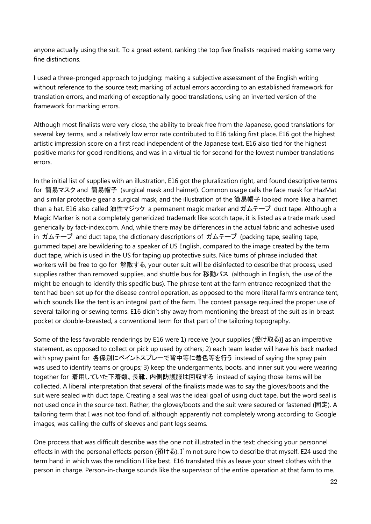anyone actually using the suit. To a great extent, ranking the top five finalists required making some very fine distinctions.

I used a three-pronged approach to judging: making a subjective assessment of the English writing without reference to the source text; marking of actual errors according to an established framework for translation errors, and marking of exceptionally good translations, using an inverted version of the framework for marking errors.

Although most finalists were very close, the ability to break free from the Japanese, good translations for several key terms, and a relatively low error rate contributed to E16 taking first place. E16 got the highest artistic impression score on a first read independent of the Japanese text. E16 also tied for the highest positive marks for good renditions, and was in a virtual tie for second for the lowest number translations errors.

In the initial list of supplies with an illustration, E16 got the pluralization right, and found descriptive terms for 簡易マスク and 簡易帽子 (surgical mask and hairnet). Common usage calls the face mask for HazMat and similar protective gear a surgical mask, and the illustration of the 簡易帽子 looked more like a hairnet than a hat. E16 also called 油性マジック a permanent magic marker and ガムテープ duct tape. Although a Magic Marker is not a completely genericized trademark like scotch tape, it is listed as a trade mark used generically by fact-index.com. And, while there may be differences in the actual fabric and adhesive used in ガムテープ and duct tape, the dictionary descriptions of ガムテープ (packing tape, sealing tape, gummed tape) are bewildering to a speaker of US English, compared to the image created by the term duct tape, which is used in the US for taping up protective suits. Nice turns of phrase included that workers will be free to go for 解散する, your outer suit will be disinfected to describe that process, used supplies rather than removed supplies, and shuttle bus for 移動バス (although in English, the use of the might be enough to identify this specific bus). The phrase tent at the farm entrance recognized that the tent had been set up for the disease control operation, as opposed to the more literal farm's entrance tent, which sounds like the tent is an integral part of the farm. The contest passage required the proper use of several tailoring or sewing terms. E16 didn't shy away from mentioning the breast of the suit as in breast pocket or double-breasted, a conventional term for that part of the tailoring topography.

Some of the less favorable renderings by E16 were 1) receive [your supplies (受け取る)] as an imperative statement, as opposed to collect or pick up used by others; 2) each team leader will have his back marked with spray paint for 各係別にペイントスプレーで背中等に着色等を行う instead of saying the spray pain was used to identify teams or groups; 3) keep the undergarments, boots, and inner suit you were wearing together for 着用していた下着類、長靴、内側防護服は回収する instead of saying those items will be collected. A liberal interpretation that several of the finalists made was to say the gloves/boots and the suit were sealed with duct tape. Creating a seal was the ideal goal of using duct tape, but the word seal is not used once in the source text. Rather, the gloves/boots and the suit were secured or fastened (固定). A tailoring term that I was not too fond of, although apparently not completely wrong according to Google images, was calling the cuffs of sleeves and pant legs seams.

One process that was difficult describe was the one not illustrated in the text: checking your personnel effects in with the personal effects person (預ける). I'm not sure how to describe that myself. E24 used the term hand in which was the rendition I like best. E16 translated this as leave your street clothes with the person in charge. Person-in-charge sounds like the supervisor of the entire operation at that farm to me.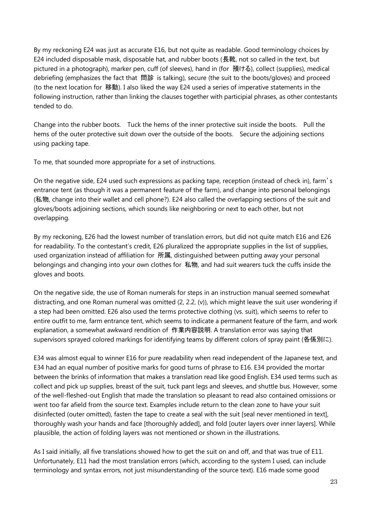By my reckoning E24 was just as accurate E16, but not quite as readable. Good terminology choices by E24 included disposable mask, disposable hat, and rubber boots (長靴, not so called in the text, but pictured in a photograph), marker pen, cuff (of sleeves), hand in (for 預ける), collect (supplies), medical debriefing (emphasizes the fact that 問診 is talking), secure (the suit to the boots/gloves) and proceed (to the next location for 移動). I also liked the way E24 used a series of imperative statements in the following instruction, rather than linking the clauses together with participial phrases, as other contestants tended to do.

Change into the rubber boots. Tuck the hems of the inner protective suit inside the boots. Pull the hems of the outer protective suit down over the outside of the boots. Secure the adjoining sections using packing tape.

To me, that sounded more appropriate for a set of instructions.

On the negative side, E24 used such expressions as packing tape, reception (instead of check in), farm's entrance tent (as though it was a permanent feature of the farm), and change into personal belongings (私物, change into their wallet and cell phone?). E24 also called the overlapping sections of the suit and gloves/boots adjoining sections, which sounds like neighboring or next to each other, but not overlapping.

By my reckoning, E26 had the lowest number of translation errors, but did not quite match E16 and E26 for readability. To the contestant's credit, E26 pluralized the appropriate supplies in the list of supplies, used organization instead of affiliation for 所属, distinguished between putting away your personal belongings and changing into your own clothes for 私物, and had suit wearers tuck the cuffs inside the gloves and boots.

On the negative side, the use of Roman numerals for steps in an instruction manual seemed somewhat distracting, and one Roman numeral was omitted (2, 2.2, (v)), which might leave the suit user wondering if a step had been omitted. E26 also used the terms protective clothing (vs. suit), which seems to refer to entire outfit to me, farm entrance tent, which seems to indicate a permanent feature of the farm, and work explanation, a somewhat awkward rendition of 作業内容説明. A translation error was saying that supervisors sprayed colored markings for identifying teams by different colors of spray paint (各係別に).

E34 was almost equal to winner E16 for pure readability when read independent of the Japanese text, and E34 had an equal number of positive marks for good turns of phrase to E16. E34 provided the mortar between the brinks of information that makes a translation read like good English. E34 used terms such as collect and pick up supplies, breast of the suit, tuck pant legs and sleeves, and shuttle bus. However, some of the well-fleshed-out English that made the translation so pleasant to read also contained omissions or went too far afield from the source text. Examples include return to the clean zone to have your suit disinfected (outer omitted), fasten the tape to create a seal with the suit [seal never mentioned in text], thoroughly wash your hands and face [thoroughly added], and fold [outer layers over inner layers]. While plausible, the action of folding layers was not mentioned or shown in the illustrations.

As I said initially, all five translations showed how to get the suit on and off, and that was true of E11. Unfortunately, E11 had the most translation errors (which, according to the system I used, can include terminology and syntax errors, not just misunderstanding of the source text). E16 made some good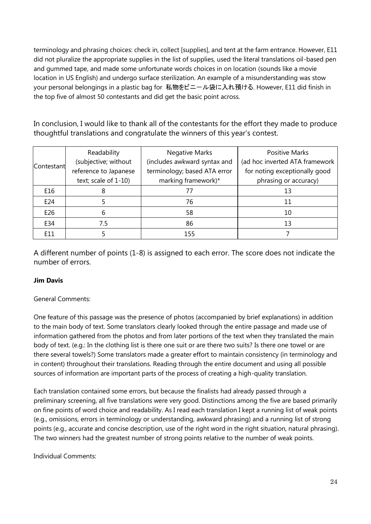terminology and phrasing choices: check in, collect [supplies], and tent at the farm entrance. However, E11 did not pluralize the appropriate supplies in the list of supplies, used the literal translations oil-based pen and gummed tape, and made some unfortunate words choices in on location (sounds like a movie location in US English) and undergo surface sterilization. An example of a misunderstanding was stow your personal belongings in a plastic bag for 私物をビニール袋に入れ預ける. However, E11 did finish in the top five of almost 50 contestants and did get the basic point across.

In conclusion, I would like to thank all of the contestants for the effort they made to produce thoughtful translations and congratulate the winners of this year's contest.

| Contestant | Readability           | <b>Negative Marks</b>        | <b>Positive Marks</b>          |
|------------|-----------------------|------------------------------|--------------------------------|
|            | (subjective; without  | (includes awkward syntax and | (ad hoc inverted ATA framework |
|            | reference to Japanese | terminology; based ATA error | for noting exceptionally good  |
|            | text; scale of 1-10)  | marking framework)*          | phrasing or accuracy)          |
| E16        |                       | 77                           | 13                             |
| E24        |                       | 76                           | 11                             |
| E26        | 6                     | 58                           | 10                             |
| E34        | 7.5                   | 86                           | 13                             |
| F11        |                       | 155                          |                                |

A different number of points (1-8) is assigned to each error. The score does not indicate the number of errors.

# **Jim Davis**

# General Comments:

One feature of this passage was the presence of photos (accompanied by brief explanations) in addition to the main body of text. Some translators clearly looked through the entire passage and made use of information gathered from the photos and from later portions of the text when they translated the main body of text. (e.g.: In the clothing list is there one suit or are there two suits? Is there one towel or are there several towels?) Some translators made a greater effort to maintain consistency (in terminology and in content) throughout their translations. Reading through the entire document and using all possible sources of information are important parts of the process of creating a high-quality translation.

Each translation contained some errors, but because the finalists had already passed through a preliminary screening, all five translations were very good. Distinctions among the five are based primarily on fine points of word choice and readability. As I read each translation I kept a running list of weak points (e.g., omissions, errors in terminology or understanding, awkward phrasing) and a running list of strong points (e.g., accurate and concise description, use of the right word in the right situation, natural phrasing). The two winners had the greatest number of strong points relative to the number of weak points.

Individual Comments: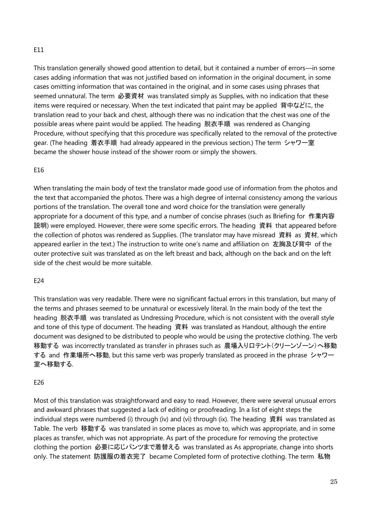# E11

This translation generally showed good attention to detail, but it contained a number of errors—in some cases adding information that was not justified based on information in the original document, in some cases omitting information that was contained in the original, and in some cases using phrases that seemed unnatural. The term 必要資材 was translated simply as Supplies, with no indication that these items were required or necessary. When the text indicated that paint may be applied 背中などに, the translation read to your back and chest, although there was no indication that the chest was one of the possible areas where paint would be applied. The heading 脱衣手順 was rendered as Changing Procedure, without specifying that this procedure was specifically related to the removal of the protective gear. (The heading 着衣手順 had already appeared in the previous section.) The term シャワー室 became the shower house instead of the shower room or simply the showers.

#### E16

When translating the main body of text the translator made good use of information from the photos and the text that accompanied the photos. There was a high degree of internal consistency among the various portions of the translation. The overall tone and word choice for the translation were generally appropriate for a document of this type, and a number of concise phrases (such as Briefing for 作業内容 説明) were employed. However, there were some specific errors. The heading 資料 that appeared before the collection of photos was rendered as Supplies. (The translator may have misread 資料 as 資材, which appeared earlier in the text.) The instruction to write one's name and affiliation on 左胸及び背中 of the outer protective suit was translated as on the left breast and back, although on the back and on the left side of the chest would be more suitable.

#### E24

This translation was very readable. There were no significant factual errors in this translation, but many of the terms and phrases seemed to be unnatural or excessively literal. In the main body of the text the heading 脱衣手順 was translated as Undressing Procedure, which is not consistent with the overall style and tone of this type of document. The heading 資料 was translated as Handout, although the entire document was designed to be distributed to people who would be using the protective clothing. The verb 移動する was incorrectly translated as transfer in phrases such as 農場入り口テント(クリーンゾーン)へ移動 する and 作業場所へ移動, but this same verb was properly translated as proceed in the phrase シャワー 室へ移動する.

#### E26

Most of this translation was straightforward and easy to read. However, there were several unusual errors and awkward phrases that suggested a lack of editing or proofreading. In a list of eight steps the individual steps were numbered (i) through (iv) and (vi) through (ix). The heading 資料 was translated as Table. The verb 移動する was translated in some places as move to, which was appropriate, and in some places as transfer, which was not appropriate. As part of the procedure for removing the protective clothing the portion 必要に応じパンツまで着替える was translated as As appropriate, change into shorts only. The statement 防護服の着衣完了 became Completed form of protective clothing. The term 私物